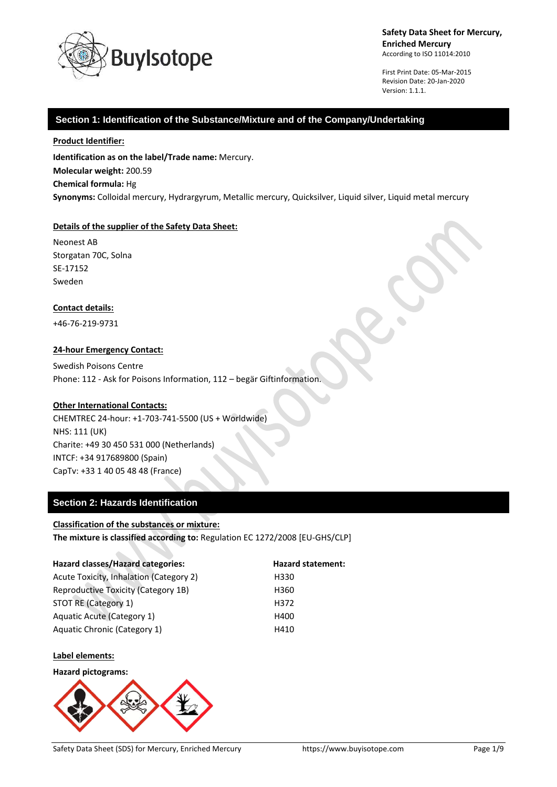

First Print Date: 05-Mar-2015 Revision Date: 20-Jan-2020 Version: 1.1.1.

### **Section 1: Identification of the Substance/Mixture and of the Company/Undertaking**

#### **Product Identifier:**

**Identification as on the label/Trade name:** Mercury. **Molecular weight:** 200.59 **Chemical formula:** Hg **Synonyms:** Colloidal mercury, Hydrargyrum, Metallic mercury, Quicksilver, Liquid silver, Liquid metal mercury

#### **Details of the supplier of the Safety Data Sheet:**

Neonest AB Storgatan 70C, Solna SE-17152 Sweden

#### **Contact details:**

+46-76-219-9731

#### **24-hour Emergency Contact:**

Swedish Poisons Centre Phone: 112 - Ask for Poisons Information, 112 – begär Giftinformation.

#### **Other International Contacts:**

CHEMTREC 24-hour: +1-703-741-5500 (US + Worldwide) NHS: 111 (UK) Charite: +49 30 450 531 000 (Netherlands) INTCF: +34 917689800 (Spain) CapTv: +33 1 40 05 48 48 (France)

### **Section 2: Hazards Identification**

#### **Classification of the substances or mixture:**

**The mixture is classified according to:** Regulation EC 1272/2008 [EU-GHS/CLP]

| <b>Hazard classes/Hazard categories:</b> | <b>Hazard statement:</b> |
|------------------------------------------|--------------------------|
| Acute Toxicity, Inhalation (Category 2)  | H330                     |
| Reproductive Toxicity (Category 1B)      | H360                     |
| STOT RE (Category 1)                     | H372                     |
| Aquatic Acute (Category 1)               | H400                     |
| Aquatic Chronic (Category 1)             | H410                     |
|                                          |                          |

#### **Label elements:**

**Hazard pictograms:**

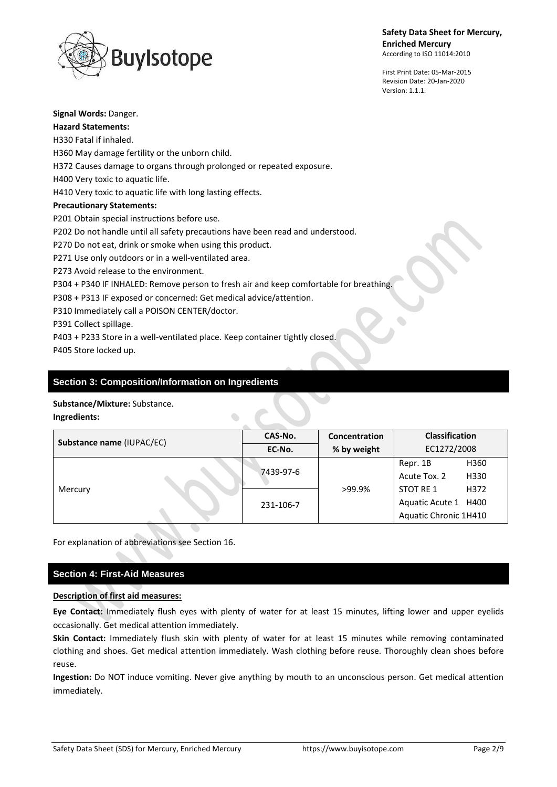





**Signal Words:** Danger. **Hazard Statements:** H330 Fatal if inhaled. H360 May damage fertility or the unborn child. H372 Causes damage to organs through prolonged or repeated exposure. H400 Very toxic to aquatic life. H410 Very toxic to aquatic life with long lasting effects. **Precautionary Statements:** P201 Obtain special instructions before use. P202 Do not handle until all safety precautions have been read and understood. P270 Do not eat, drink or smoke when using this product. P271 Use only outdoors or in a well-ventilated area. P273 Avoid release to the environment. P304 + P340 IF INHALED: Remove person to fresh air and keep comfortable for breathing. P308 + P313 IF exposed or concerned: Get medical advice/attention. P310 Immediately call a POISON CENTER/doctor. P391 Collect spillage.

P403 + P233 Store in a well-ventilated place. Keep container tightly closed. P405 Store locked up.

### **Section 3: Composition/Information on Ingredients**

#### **Substance/Mixture:** Substance.

**Ingredients:**

| Substance name (IUPAC/EC)         | CAS-No. | Concentration | <b>Classification</b> |  |
|-----------------------------------|---------|---------------|-----------------------|--|
|                                   | EC-No.  | % by weight   | EC1272/2008           |  |
| 7439-97-6<br>Mercury<br>231-106-7 |         |               | H360<br>Repr. 1B      |  |
|                                   |         |               | Acute Tox. 2<br>H330  |  |
|                                   |         | >99.9%        | STOT RE 1<br>H372     |  |
|                                   |         |               | Aquatic Acute 1 H400  |  |
|                                   |         |               | Aquatic Chronic 1H410 |  |

For explanation of abbreviations see Section 16.

### **Section 4: First-Aid Measures**

#### **Description of first aid measures:**

**Eye Contact:** Immediately flush eyes with plenty of water for at least 15 minutes, lifting lower and upper eyelids occasionally. Get medical attention immediately.

**Skin Contact:** Immediately flush skin with plenty of water for at least 15 minutes while removing contaminated clothing and shoes. Get medical attention immediately. Wash clothing before reuse. Thoroughly clean shoes before reuse.

**Ingestion:** Do NOT induce vomiting. Never give anything by mouth to an unconscious person. Get medical attention immediately.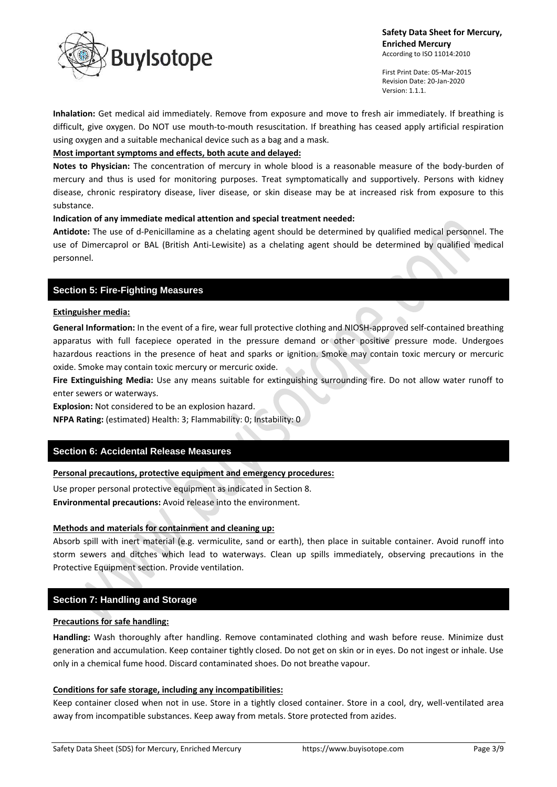

First Print Date: 05-Mar-2015 Revision Date: 20-Jan-2020 Version: 1.1.1.

**Inhalation:** Get medical aid immediately. Remove from exposure and move to fresh air immediately. If breathing is difficult, give oxygen. Do NOT use mouth-to-mouth resuscitation. If breathing has ceased apply artificial respiration using oxygen and a suitable mechanical device such as a bag and a mask.

### **Most important symptoms and effects, both acute and delayed:**

**Notes to Physician:** The concentration of mercury in whole blood is a reasonable measure of the body-burden of mercury and thus is used for monitoring purposes. Treat symptomatically and supportively. Persons with kidney disease, chronic respiratory disease, liver disease, or skin disease may be at increased risk from exposure to this substance.

#### **Indication of any immediate medical attention and special treatment needed:**

**Antidote:** The use of d-Penicillamine as a chelating agent should be determined by qualified medical personnel. The use of Dimercaprol or BAL (British Anti-Lewisite) as a chelating agent should be determined by qualified medical personnel.

### **Section 5: Fire-Fighting Measures**

#### **Extinguisher media:**

**General Information:** In the event of a fire, wear full protective clothing and NIOSH-approved self-contained breathing apparatus with full facepiece operated in the pressure demand or other positive pressure mode. Undergoes hazardous reactions in the presence of heat and sparks or ignition. Smoke may contain toxic mercury or mercuric oxide. Smoke may contain toxic mercury or mercuric oxide.

**Fire Extinguishing Media:** Use any means suitable for extinguishing surrounding fire. Do not allow water runoff to enter sewers or waterways.

**Explosion:** Not considered to be an explosion hazard.

**NFPA Rating:** (estimated) Health: 3; Flammability: 0; Instability: 0

# **Section 6: Accidental Release Measures**

### **Personal precautions, protective equipment and emergency procedures:**

Use proper personal protective equipment as indicated in Section 8.

**Environmental precautions:** Avoid release into the environment.

### **Methods and materials for containment and cleaning up:**

Absorb spill with inert material (e.g. vermiculite, sand or earth), then place in suitable container. Avoid runoff into storm sewers and ditches which lead to waterways. Clean up spills immediately, observing precautions in the Protective Equipment section. Provide ventilation.

# **Section 7: Handling and Storage**

#### **Precautions for safe handling:**

**Handling:** Wash thoroughly after handling. Remove contaminated clothing and wash before reuse. Minimize dust generation and accumulation. Keep container tightly closed. Do not get on skin or in eyes. Do not ingest or inhale. Use only in a chemical fume hood. Discard contaminated shoes. Do not breathe vapour.

#### **Conditions for safe storage, including any incompatibilities:**

Keep container closed when not in use. Store in a tightly closed container. Store in a cool, dry, well-ventilated area away from incompatible substances. Keep away from metals. Store protected from azides.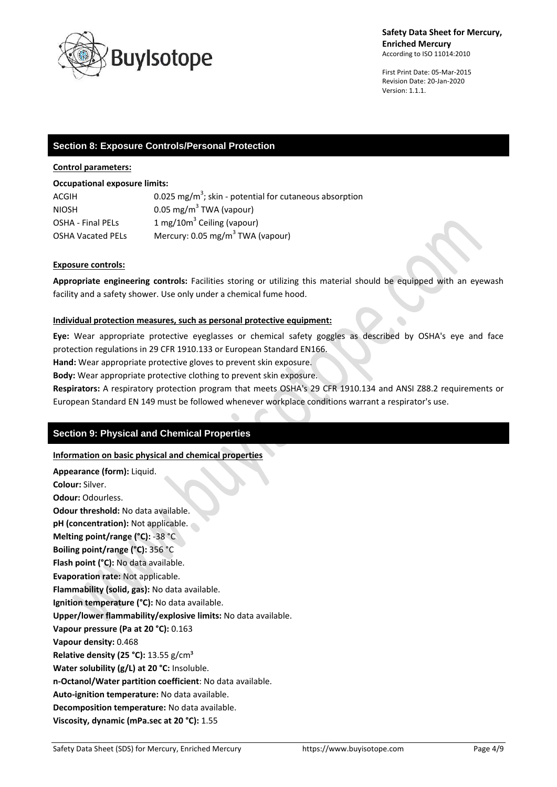

First Print Date: 05-Mar-2015 Revision Date: 20-Jan-2020 Version: 1.1.1.

### **Section 8: Exposure Controls/Personal Protection**

#### **Control parameters:**

#### **Occupational exposure limits:**

| ACGIH                    | 0.025 mg/m <sup>3</sup> ; skin - potential for cutaneous absorption |
|--------------------------|---------------------------------------------------------------------|
| <b>NIOSH</b>             | 0.05 mg/m <sup>3</sup> TWA (vapour)                                 |
| <b>OSHA - Final PELS</b> | 1 mg/10 $m3$ Ceiling (vapour)                                       |
| <b>OSHA Vacated PELS</b> | Mercury: 0.05 mg/m <sup>3</sup> TWA (vapour)                        |

#### **Exposure controls:**

**Appropriate engineering controls:** Facilities storing or utilizing this material should be equipped with an eyewash facility and a safety shower. Use only under a chemical fume hood.

#### **Individual protection measures, such as personal protective equipment:**

**Eye:** Wear appropriate protective eyeglasses or chemical safety goggles as described by OSHA's eye and face protection regulations in 29 CFR 1910.133 or European Standard EN166.

**Hand:** Wear appropriate protective gloves to prevent skin exposure.

**Body:** Wear appropriate protective clothing to prevent skin exposure.

**Respirators:** A respiratory protection program that meets OSHA's 29 CFR 1910.134 and ANSI Z88.2 requirements or European Standard EN 149 must be followed whenever workplace conditions warrant a respirator's use.

### **Section 9: Physical and Chemical Properties**

#### **Information on basic physical and chemical properties**

**Appearance (form):** Liquid. **Colour:** Silver. **Odour:** Odourless. **Odour threshold:** No data available. **pH (concentration):** Not applicable. **Melting point/range (°C):** -38 °C **Boiling point/range (°C):** 356 °C **Flash point (°C):** No data available. **Evaporation rate:** Not applicable. **Flammability (solid, gas):** No data available. **Ignition temperature (°C):** No data available. **Upper/lower flammability/explosive limits:** No data available. **Vapour pressure (Pa at 20 °C):** 0.163 **Vapour density:** 0.468 **Relative density (25 °C):** 13.55 g/cm³ **Water solubility (g/L) at 20 °C:** Insoluble. **n-Octanol/Water partition coefficient**: No data available. **Auto-ignition temperature:** No data available. **Decomposition temperature:** No data available. **Viscosity, dynamic (mPa.sec at 20 °C):** 1.55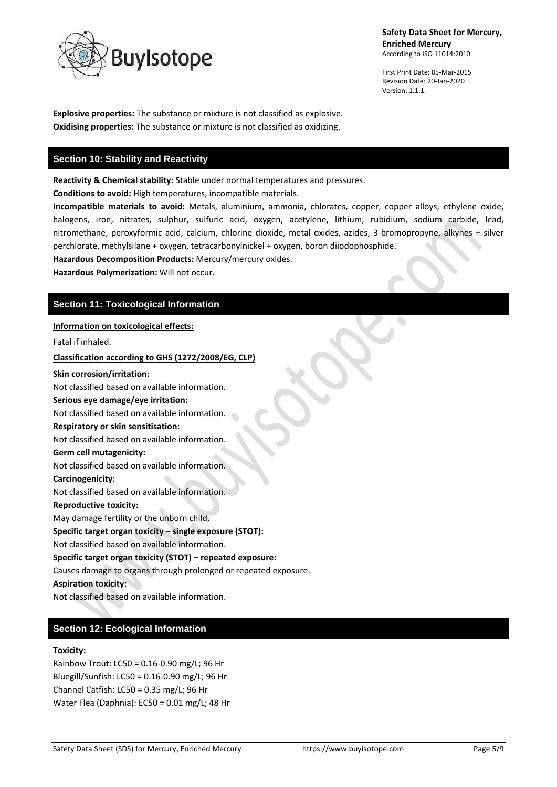

First Print Date: 05-Mar-2015 Revision Date: 20-Jan-2020 Version: 1.1.1.

**Explosive properties:** The substance or mixture is not classified as explosive. **Oxidising properties:** The substance or mixture is not classified as oxidizing.

### **Section 10: Stability and Reactivity**

**Reactivity & Chemical stability:** Stable under normal temperatures and pressures.

**Conditions to avoid:** High temperatures, incompatible materials.

**Incompatible materials to avoid:** Metals, aluminium, ammonia, chlorates, copper, copper alloys, ethylene oxide, halogens, iron, nitrates, sulphur, sulfuric acid, oxygen, acetylene, lithium, rubidium, sodium carbide, lead, nitromethane, peroxyformic acid, calcium, chlorine dioxide, metal oxides, azides, 3-bromopropyne, alkynes + silver perchlorate, methylsilane + oxygen, tetracarbonylnickel + oxygen, boron diiodophosphide.

**Hazardous Decomposition Products:** Mercury/mercury oxides.

**Hazardous Polymerization:** Will not occur.

# **Section 11: Toxicological Information**

#### **Information on toxicological effects:**

Fatal if inhaled.

**Classification according to GHS (1272/2008/EG, CLP)**

#### **Skin corrosion/irritation:**

Not classified based on available information.

#### **Serious eye damage/eye irritation:**

Not classified based on available information.

#### **Respiratory or skin sensitisation:**

Not classified based on available information.

#### **Germ cell mutagenicity:**

Not classified based on available information.

#### **Carcinogenicity:**

Not classified based on available information.

#### **Reproductive toxicity:**

May damage fertility or the unborn child.

#### **Specific target organ toxicity – single exposure (STOT):**

Not classified based on available information.

# **Specific target organ toxicity (STOT) – repeated exposure:**

Causes damage to organs through prolonged or repeated exposure.

# **Aspiration toxicity:**

Not classified based on available information.

# **Section 12: Ecological Information**

#### **Toxicity:**

Rainbow Trout: LC50 = 0.16-0.90 mg/L; 96 Hr Bluegill/Sunfish: LC50 = 0.16-0.90 mg/L; 96 Hr Channel Catfish: LC50 = 0.35 mg/L; 96 Hr Water Flea (Daphnia): EC50 = 0.01 mg/L; 48 Hr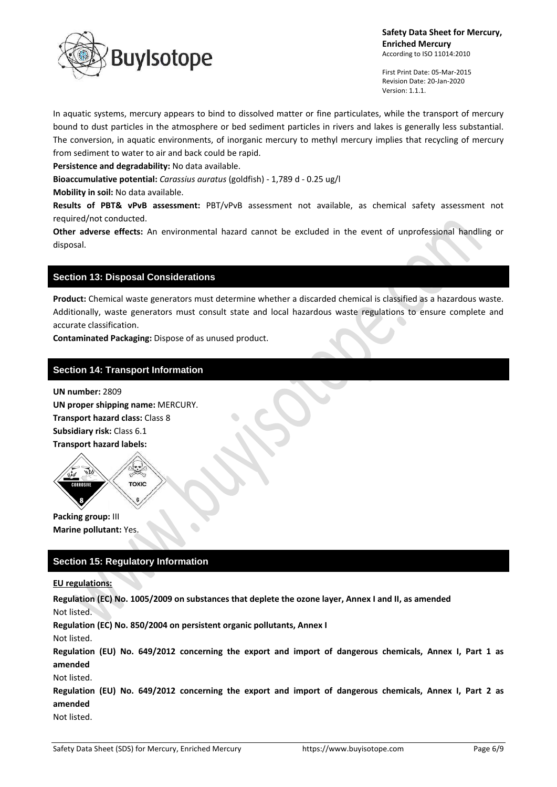

First Print Date: 05-Mar-2015 Revision Date: 20-Jan-2020 Version: 1.1.1.

In aquatic systems, mercury appears to bind to dissolved matter or fine particulates, while the transport of mercury bound to dust particles in the atmosphere or bed sediment particles in rivers and lakes is generally less substantial. The conversion, in aquatic environments, of inorganic mercury to methyl mercury implies that recycling of mercury from sediment to water to air and back could be rapid.

**Persistence and degradability:** No data available.

**Bioaccumulative potential:** *Carassius auratus* (goldfish) - 1,789 d - 0.25 ug/l

**Mobility in soil:** No data available.

**Results of PBT& vPvB assessment:** PBT/vPvB assessment not available, as chemical safety assessment not required/not conducted.

**Other adverse effects:** An environmental hazard cannot be excluded in the event of unprofessional handling or disposal.

### **Section 13: Disposal Considerations**

**Product:** Chemical waste generators must determine whether a discarded chemical is classified as a hazardous waste. Additionally, waste generators must consult state and local hazardous waste regulations to ensure complete and accurate classification.

**Contaminated Packaging:** Dispose of as unused product.

### **Section 14: Transport Information**

**UN number:** 2809 **UN proper shipping name:** MERCURY. **Transport hazard class:** Class 8 **Subsidiary risk:** Class 6.1 **Transport hazard labels:**



**Packing group:** III **Marine pollutant:** Yes.

# **Section 15: Regulatory Information**

#### **EU regulations:**

**Regulation (EC) No. 1005/2009 on substances that deplete the ozone layer, Annex I and II, as amended** Not listed.

**Regulation (EC) No. 850/2004 on persistent organic pollutants, Annex I**

Not listed.

**Regulation (EU) No. 649/2012 concerning the export and import of dangerous chemicals, Annex I, Part 1 as amended**

Not listed.

**Regulation (EU) No. 649/2012 concerning the export and import of dangerous chemicals, Annex I, Part 2 as amended**

Not listed.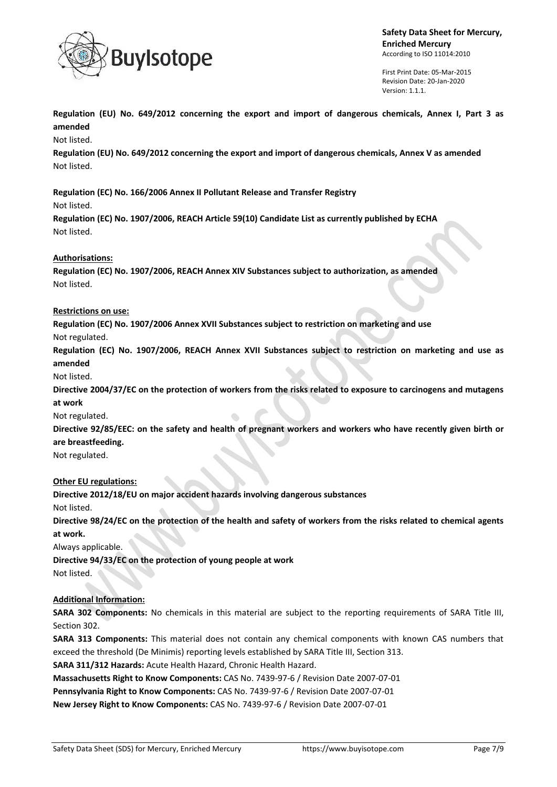

First Print Date: 05-Mar-2015 Revision Date: 20-Jan-2020 Version: 1.1.1.

**Regulation (EU) No. 649/2012 concerning the export and import of dangerous chemicals, Annex I, Part 3 as amended**

Not listed.

**Regulation (EU) No. 649/2012 concerning the export and import of dangerous chemicals, Annex V as amended** Not listed.

**Regulation (EC) No. 166/2006 Annex II Pollutant Release and Transfer Registry**

Not listed.

**Regulation (EC) No. 1907/2006, REACH Article 59(10) Candidate List as currently published by ECHA** Not listed.

#### **Authorisations:**

**Regulation (EC) No. 1907/2006, REACH Annex XIV Substances subject to authorization, as amended** Not listed.

#### **Restrictions on use:**

**Regulation (EC) No. 1907/2006 Annex XVII Substances subject to restriction on marketing and use**

 $\hat{\phantom{a}}$ 

Not regulated.

**Regulation (EC) No. 1907/2006, REACH Annex XVII Substances subject to restriction on marketing and use as amended**

Not listed.

**Directive 2004/37/EC on the protection of workers from the risks related to exposure to carcinogens and mutagens at work**

Not regulated.

**Directive 92/85/EEC: on the safety and health of pregnant workers and workers who have recently given birth or are breastfeeding.**

#### Not regulated.

### **Other EU regulations:**

**Directive 2012/18/EU on major accident hazards involving dangerous substances**

Not listed.

**Directive 98/24/EC on the protection of the health and safety of workers from the risks related to chemical agents at work.**

Always applicable.

**Directive 94/33/EC on the protection of young people at work**

Not listed.

### **Additional Information:**

**SARA 302 Components:** No chemicals in this material are subject to the reporting requirements of SARA Title III, Section 302.

**SARA 313 Components:** This material does not contain any chemical components with known CAS numbers that exceed the threshold (De Minimis) reporting levels established by SARA Title III, Section 313.

**SARA 311/312 Hazards:** Acute Health Hazard, Chronic Health Hazard.

**Massachusetts Right to Know Components:** CAS No. 7439-97-6 / Revision Date 2007-07-01

**Pennsylvania Right to Know Components:** CAS No. 7439-97-6 / Revision Date 2007-07-01

**New Jersey Right to Know Components:** CAS No. 7439-97-6 / Revision Date 2007-07-01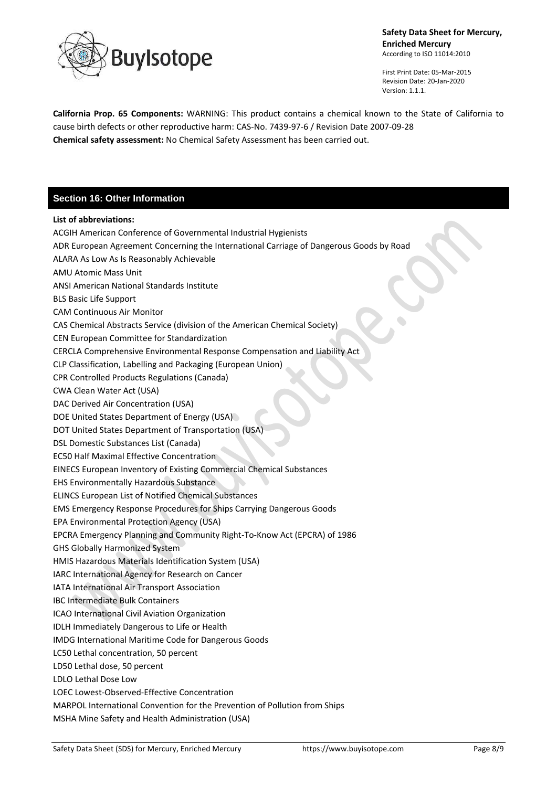

First Print Date: 05-Mar-2015 Revision Date: 20-Jan-2020 Version: 1.1.1.

**California Prop. 65 Components:** WARNING: This product contains a chemical known to the State of California to cause birth defects or other reproductive harm: CAS-No. 7439-97-6 / Revision Date 2007-09-28 **Chemical safety assessment:** No Chemical Safety Assessment has been carried out.

# **Section 16: Other Information**

# **List of abbreviations:** ACGIH American Conference of Governmental Industrial Hygienists ADR European Agreement Concerning the International Carriage of Dangerous Goods by Road ALARA As Low As Is Reasonably Achievable AMU Atomic Mass Unit ANSI American National Standards Institute BLS Basic Life Support CAM Continuous Air Monitor CAS Chemical Abstracts Service (division of the American Chemical Society) CEN European Committee for Standardization CERCLA Comprehensive Environmental Response Compensation and Liability Act CLP Classification, Labelling and Packaging (European Union) CPR Controlled Products Regulations (Canada) CWA Clean Water Act (USA) DAC Derived Air Concentration (USA) DOE United States Department of Energy (USA) DOT United States Department of Transportation (USA) DSL Domestic Substances List (Canada) EC50 Half Maximal Effective Concentration EINECS European Inventory of Existing Commercial Chemical Substances EHS Environmentally Hazardous Substance ELINCS European List of Notified Chemical Substances EMS Emergency Response Procedures for Ships Carrying Dangerous Goods EPA Environmental Protection Agency (USA) EPCRA Emergency Planning and Community Right-To-Know Act (EPCRA) of 1986 GHS Globally Harmonized System HMIS Hazardous Materials Identification System (USA) IARC International Agency for Research on Cancer IATA International Air Transport Association IBC Intermediate Bulk Containers ICAO International Civil Aviation Organization IDLH Immediately Dangerous to Life or Health IMDG International Maritime Code for Dangerous Goods LC50 Lethal concentration, 50 percent LD50 Lethal dose, 50 percent LDLO Lethal Dose Low LOEC Lowest-Observed-Effective Concentration MARPOL International Convention for the Prevention of Pollution from Ships MSHA Mine Safety and Health Administration (USA)